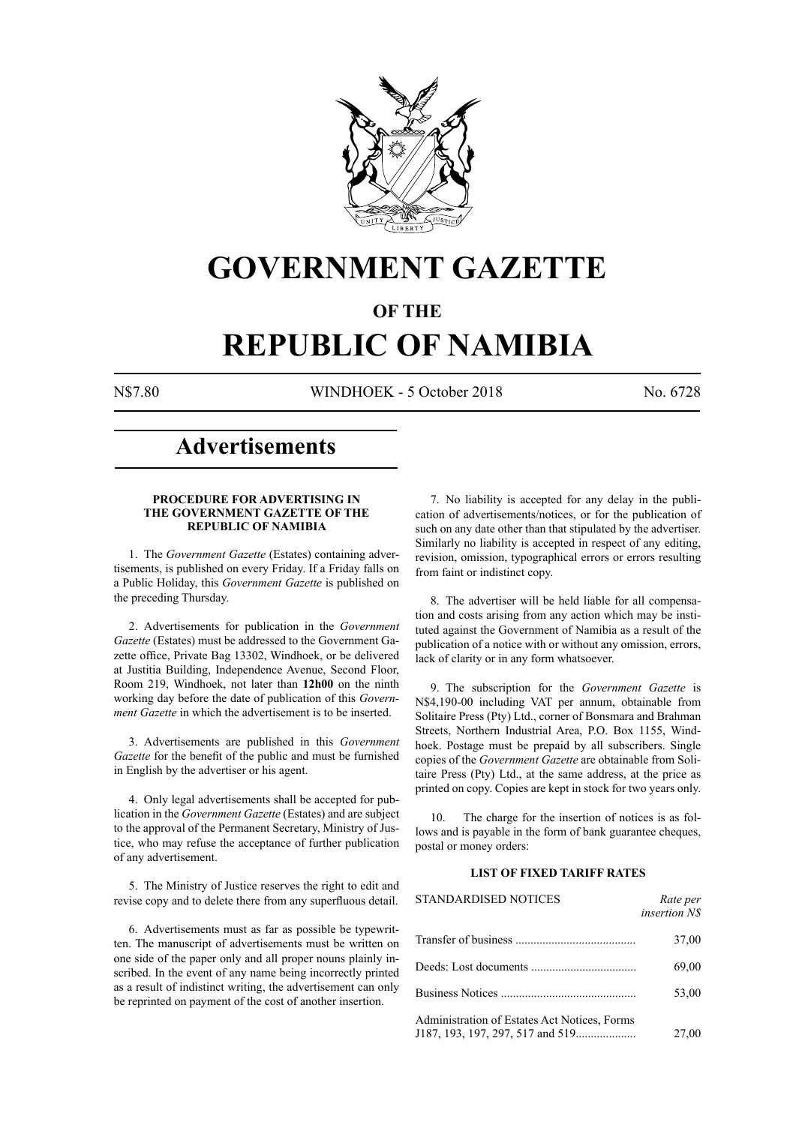

## **GOVERNMENT GAZETTE**

#### **OF THE**

## **REPUBLIC OF NAMIBIA**

N\$7.80 WINDHOEK - 5 October 2018 No. 6728

## **Advertisements**

#### **PROCEDURE FOR ADVERTISING IN THE GOVERNMENT GAZETTE OF THE REPUBLIC OF NAMIBIA**

1. The *Government Gazette* (Estates) containing advertisements, is published on every Friday. If a Friday falls on a Public Holiday, this *Government Gazette* is published on the preceding Thursday.

2. Advertisements for publication in the *Government Gazette* (Estates) must be addressed to the Government Gazette office, Private Bag 13302, Windhoek, or be delivered at Justitia Building, Independence Avenue, Second Floor, Room 219, Windhoek, not later than **12h00** on the ninth working day before the date of publication of this *Government Gazette* in which the advertisement is to be inserted.

3. Advertisements are published in this *Government Gazette* for the benefit of the public and must be furnished in English by the advertiser or his agent.

4. Only legal advertisements shall be accepted for publication in the *Government Gazette* (Estates) and are subject to the approval of the Permanent Secretary, Ministry of Justice, who may refuse the acceptance of further publication of any advertisement.

5. The Ministry of Justice reserves the right to edit and revise copy and to delete there from any superfluous detail.

6. Advertisements must as far as possible be typewritten. The manuscript of advertisements must be written on one side of the paper only and all proper nouns plainly inscribed. In the event of any name being incorrectly printed as a result of indistinct writing, the advertisement can only be reprinted on payment of the cost of another insertion.

7. No liability is accepted for any delay in the publication of advertisements/notices, or for the publication of such on any date other than that stipulated by the advertiser. Similarly no liability is accepted in respect of any editing, revision, omission, typographical errors or errors resulting from faint or indistinct copy.

8. The advertiser will be held liable for all compensation and costs arising from any action which may be instituted against the Government of Namibia as a result of the publication of a notice with or without any omission, errors, lack of clarity or in any form whatsoever.

9. The subscription for the *Government Gazette* is N\$4,190-00 including VAT per annum, obtainable from Solitaire Press (Pty) Ltd., corner of Bonsmara and Brahman Streets, Northern Industrial Area, P.O. Box 1155, Windhoek. Postage must be prepaid by all subscribers. Single copies of the *Government Gazette* are obtainable from Solitaire Press (Pty) Ltd., at the same address, at the price as printed on copy. Copies are kept in stock for two years only.

10. The charge for the insertion of notices is as follows and is payable in the form of bank guarantee cheques, postal or money orders:

#### **LIST OF FIXED TARIFF RATES**

| <b>STANDARDISED NOTICES</b>                  | Rate per<br><i>insertion NS</i> |
|----------------------------------------------|---------------------------------|
|                                              | 37,00                           |
|                                              | 69,00                           |
|                                              | 53,00                           |
| Administration of Estates Act Notices, Forms | 27,00                           |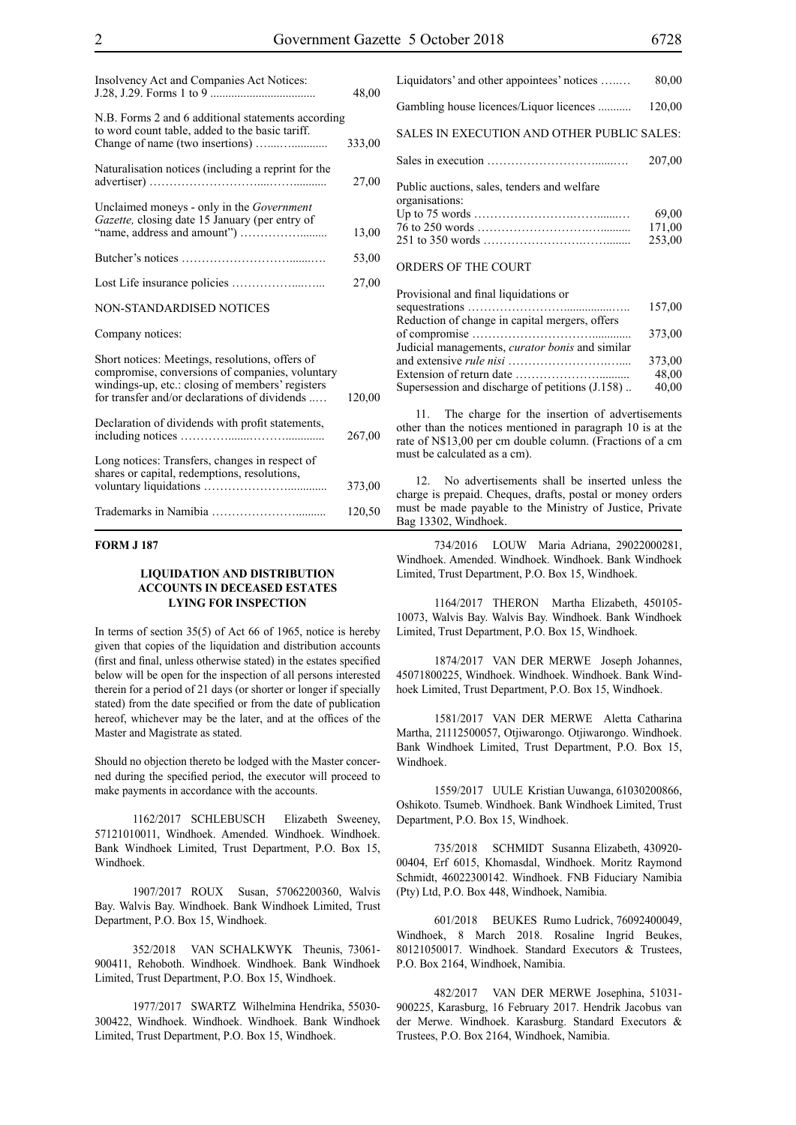| Insolvency Act and Companies Act Notices:                                                                                                                                                               | 48,00  |
|---------------------------------------------------------------------------------------------------------------------------------------------------------------------------------------------------------|--------|
| N.B. Forms 2 and 6 additional statements according<br>to word count table, added to the basic tariff.                                                                                                   | 333,00 |
| Naturalisation notices (including a reprint for the                                                                                                                                                     | 27,00  |
| Unclaimed moneys - only in the <i>Government</i><br>Gazette, closing date 15 January (per entry of                                                                                                      | 13,00  |
|                                                                                                                                                                                                         | 53,00  |
|                                                                                                                                                                                                         | 27,00  |
| <b>NON-STANDARDISED NOTICES</b>                                                                                                                                                                         |        |
| Company notices:                                                                                                                                                                                        |        |
| Short notices: Meetings, resolutions, offers of<br>compromise, conversions of companies, voluntary<br>windings-up, etc.: closing of members' registers<br>for transfer and/or declarations of dividends | 120,00 |
| Declaration of dividends with profit statements,                                                                                                                                                        | 267,00 |
| Long notices: Transfers, changes in respect of<br>shares or capital, redemptions, resolutions,                                                                                                          | 373,00 |
|                                                                                                                                                                                                         | 120,50 |

#### **FORM J 187**

#### **LIQUIDATION AND DISTRIBUTION ACCOUNTS IN DECEASED ESTATES LYING FOR INSPECTION**

In terms of section 35(5) of Act 66 of 1965, notice is hereby given that copies of the liquidation and distribution accounts (first and final, unless otherwise stated) in the estates specified below will be open for the inspection of all persons interested therein for a period of 21 days (or shorter or longer if specially stated) from the date specified or from the date of publication hereof, whichever may be the later, and at the offices of the Master and Magistrate as stated.

Should no objection thereto be lodged with the Master concerned during the specified period, the executor will proceed to make payments in accordance with the accounts.

1162/2017 SCHLEBUSCH Elizabeth Sweeney, 57121010011, Windhoek. Amended. Windhoek. Windhoek. Bank Windhoek Limited, Trust Department, P.O. Box 15, Windhoek.

1907/2017 ROUX Susan, 57062200360, Walvis Bay. Walvis Bay. Windhoek. Bank Windhoek Limited, Trust Department, P.O. Box 15, Windhoek.

352/2018 VAN SCHALKWYK Theunis, 73061- 900411, Rehoboth. Windhoek. Windhoek. Bank Windhoek Limited, Trust Department, P.O. Box 15, Windhoek.

1977/2017 SWARTZ Wilhelmina Hendrika, 55030- 300422, Windhoek. Windhoek. Windhoek. Bank Windhoek Limited, Trust Department, P.O. Box 15, Windhoek.

| Liquidators' and other appointees' notices                    | 80,00                     |
|---------------------------------------------------------------|---------------------------|
| Gambling house licences/Liquor licences                       | 120,00                    |
| SALES IN EXECUTION AND OTHER PUBLIC SALES:                    |                           |
|                                                               | 207,00                    |
| Public auctions, sales, tenders and welfare<br>organisations: | 69,00<br>171,00<br>253,00 |
| <b>ORDERS OF THE COURT</b>                                    |                           |

| Provisional and final liquidations or                  |        |
|--------------------------------------------------------|--------|
|                                                        | 157,00 |
| Reduction of change in capital mergers, offers         |        |
|                                                        | 373,00 |
| Judicial managements, <i>curator bonis</i> and similar |        |
|                                                        | 373,00 |
|                                                        | 48.00  |
| Supersession and discharge of petitions (J.158)        | 40,00  |

11. The charge for the insertion of advertisements other than the notices mentioned in paragraph 10 is at the rate of N\$13,00 per cm double column. (Fractions of a cm must be calculated as a cm).

12. No advertisements shall be inserted unless the charge is prepaid. Cheques, drafts, postal or money orders must be made payable to the Ministry of Justice, Private Bag 13302, Windhoek.

734/2016 LOUW Maria Adriana, 29022000281, Windhoek. Amended. Windhoek. Windhoek. Bank Windhoek Limited, Trust Department, P.O. Box 15, Windhoek.

1164/2017 THERON Martha Elizabeth, 450105- 10073, Walvis Bay. Walvis Bay. Windhoek. Bank Windhoek Limited, Trust Department, P.O. Box 15, Windhoek.

1874/2017 VAN DER MERWE Joseph Johannes, 45071800225, Windhoek. Windhoek. Windhoek. Bank Windhoek Limited, Trust Department, P.O. Box 15, Windhoek.

1581/2017 VAN DER MERWE Aletta Catharina Martha, 21112500057, Otjiwarongo. Otjiwarongo. Windhoek. Bank Windhoek Limited, Trust Department, P.O. Box 15, Windhoek.

1559/2017 UULE Kristian Uuwanga, 61030200866, Oshikoto. Tsumeb. Windhoek. Bank Windhoek Limited, Trust Department, P.O. Box 15, Windhoek.

735/2018 SCHMIDT Susanna Elizabeth, 430920- 00404, Erf 6015, Khomasdal, Windhoek. Moritz Raymond Schmidt, 46022300142. Windhoek. FNB Fiduciary Namibia (Pty) Ltd, P.O. Box 448, Windhoek, Namibia.

601/2018 BEUKES Rumo Ludrick, 76092400049, Windhoek, 8 March 2018. Rosaline Ingrid Beukes, 80121050017. Windhoek. Standard Executors & Trustees, P.O. Box 2164, Windhoek, Namibia.

482/2017 VAN DER MERWE Josephina, 51031- 900225, Karasburg, 16 February 2017. Hendrik Jacobus van der Merwe. Windhoek. Karasburg. Standard Executors & Trustees, P.O. Box 2164, Windhoek, Namibia.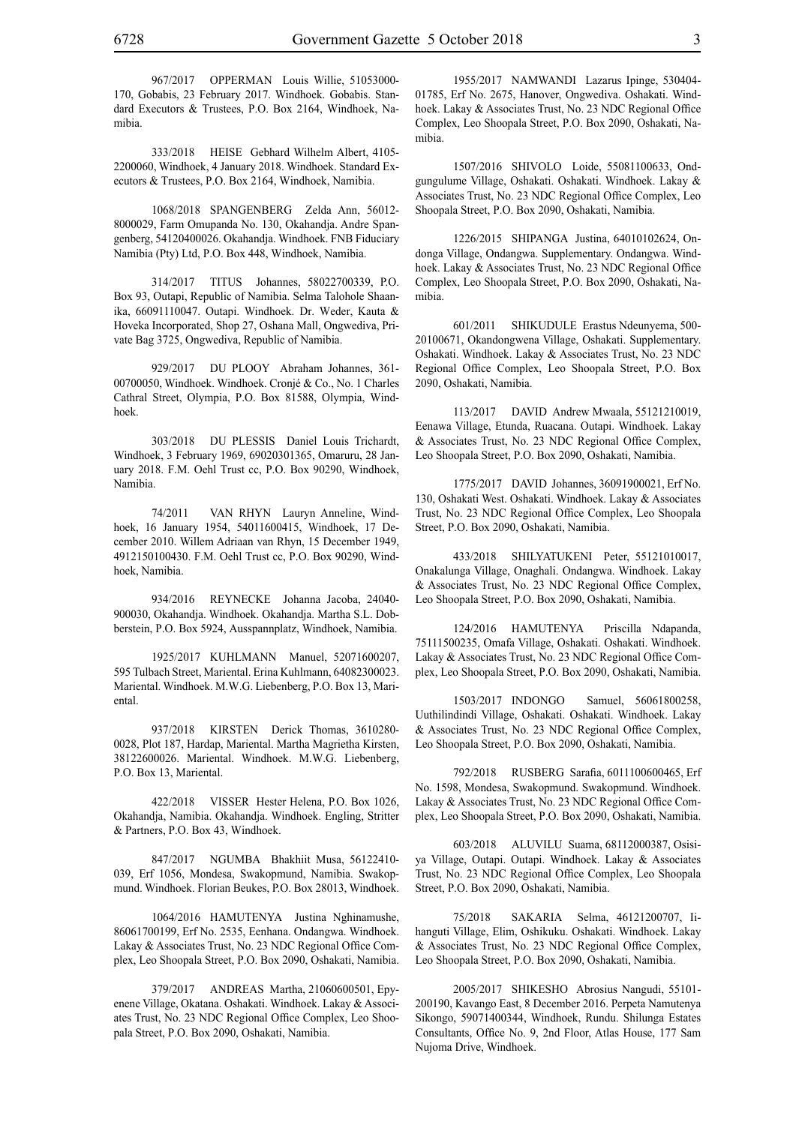967/2017 OPPERMAN Louis Willie, 51053000- 170, Gobabis, 23 February 2017. Windhoek. Gobabis. Standard Executors & Trustees, P.O. Box 2164, Windhoek, Na-

333/2018 HEISE Gebhard Wilhelm Albert, 4105- 2200060, Windhoek, 4 January 2018. Windhoek. Standard Executors & Trustees, P.O. Box 2164, Windhoek, Namibia.

1068/2018 SPANGENBERG Zelda Ann, 56012- 8000029, Farm Omupanda No. 130, Okahandja. Andre Spangenberg, 54120400026. Okahandja. Windhoek. FNB Fiduciary Namibia (Pty) Ltd, P.O. Box 448, Windhoek, Namibia.

314/2017 TITUS Johannes, 58022700339, P.O. Box 93, Outapi, Republic of Namibia. Selma Talohole Shaanika, 66091110047. Outapi. Windhoek. Dr. Weder, Kauta & Hoveka Incorporated, Shop 27, Oshana Mall, Ongwediva, Private Bag 3725, Ongwediva, Republic of Namibia.

929/2017 DU PLOOY Abraham Johannes, 361- 00700050, Windhoek. Windhoek. Cronjé & Co., No. 1 Charles Cathral Street, Olympia, P.O. Box 81588, Olympia, Windhoek.

303/2018 DU PLESSIS Daniel Louis Trichardt, Windhoek, 3 February 1969, 69020301365, Omaruru, 28 January 2018. F.M. Oehl Trust cc, P.O. Box 90290, Windhoek, Namibia.

74/2011 VAN RHYN Lauryn Anneline, Windhoek, 16 January 1954, 54011600415, Windhoek, 17 December 2010. Willem Adriaan van Rhyn, 15 December 1949, 4912150100430. F.M. Oehl Trust cc, P.O. Box 90290, Windhoek, Namibia.

934/2016 REYNECKE Johanna Jacoba, 24040- 900030, Okahandja. Windhoek. Okahandja. Martha S.L. Dobberstein, P.O. Box 5924, Ausspannplatz, Windhoek, Namibia.

1925/2017 KUHLMANN Manuel, 52071600207, 595 Tulbach Street, Mariental. Erina Kuhlmann, 64082300023. Mariental. Windhoek. M.W.G. Liebenberg, P.O. Box 13, Mariental.

937/2018 KIRSTEN Derick Thomas, 3610280- 0028, Plot 187, Hardap, Mariental. Martha Magrietha Kirsten, 38122600026. Mariental. Windhoek. M.W.G. Liebenberg, P.O. Box 13, Mariental.

422/2018 VISSER Hester Helena, P.O. Box 1026, Okahandja, Namibia. Okahandja. Windhoek. Engling, Stritter & Partners, P.O. Box 43, Windhoek.

847/2017 NGUMBA Bhakhiit Musa, 56122410- 039, Erf 1056, Mondesa, Swakopmund, Namibia. Swakopmund. Windhoek. Florian Beukes, P.O. Box 28013, Windhoek.

1064/2016 HAMUTENYA Justina Nghinamushe, 86061700199, Erf No. 2535, Eenhana. Ondangwa. Windhoek. Lakay & Associates Trust, No. 23 NDC Regional Office Complex, Leo Shoopala Street, P.O. Box 2090, Oshakati, Namibia.

379/2017 ANDREAS Martha, 21060600501, Epyenene Village, Okatana. Oshakati. Windhoek. Lakay & Associates Trust, No. 23 NDC Regional Office Complex, Leo Shoopala Street, P.O. Box 2090, Oshakati, Namibia.

1955/2017 NAMWANDI Lazarus Ipinge, 530404- 01785, Erf No. 2675, Hanover, Ongwediva. Oshakati. Windhoek. Lakay & Associates Trust, No. 23 NDC Regional Office Complex, Leo Shoopala Street, P.O. Box 2090, Oshakati, Namibia.

1507/2016 SHIVOLO Loide, 55081100633, Ondgungulume Village, Oshakati. Oshakati. Windhoek. Lakay & Associates Trust, No. 23 NDC Regional Office Complex, Leo Shoopala Street, P.O. Box 2090, Oshakati, Namibia.

1226/2015 SHIPANGA Justina, 64010102624, Ondonga Village, Ondangwa. Supplementary. Ondangwa. Windhoek. Lakay & Associates Trust, No. 23 NDC Regional Office Complex, Leo Shoopala Street, P.O. Box 2090, Oshakati, Namibia.

601/2011 SHIKUDULE Erastus Ndeunyema, 500- 20100671, Okandongwena Village, Oshakati. Supplementary. Oshakati. Windhoek. Lakay & Associates Trust, No. 23 NDC Regional Office Complex, Leo Shoopala Street, P.O. Box 2090, Oshakati, Namibia.

113/2017 DAVID Andrew Mwaala, 55121210019, Eenawa Village, Etunda, Ruacana. Outapi. Windhoek. Lakay & Associates Trust, No. 23 NDC Regional Office Complex, Leo Shoopala Street, P.O. Box 2090, Oshakati, Namibia.

1775/2017 DAVID Johannes, 36091900021, Erf No. 130, Oshakati West. Oshakati. Windhoek. Lakay & Associates Trust, No. 23 NDC Regional Office Complex, Leo Shoopala Street, P.O. Box 2090, Oshakati, Namibia.

433/2018 SHILYATUKENI Peter, 55121010017, Onakalunga Village, Onaghali. Ondangwa. Windhoek. Lakay & Associates Trust, No. 23 NDC Regional Office Complex, Leo Shoopala Street, P.O. Box 2090, Oshakati, Namibia.

124/2016 HAMUTENYA Priscilla Ndapanda, 75111500235, Omafa Village, Oshakati. Oshakati. Windhoek. Lakay & Associates Trust, No. 23 NDC Regional Office Complex, Leo Shoopala Street, P.O. Box 2090, Oshakati, Namibia.

1503/2017 INDONGO Samuel, 56061800258, Uuthilindindi Village, Oshakati. Oshakati. Windhoek. Lakay & Associates Trust, No. 23 NDC Regional Office Complex, Leo Shoopala Street, P.O. Box 2090, Oshakati, Namibia.

792/2018 RUSBERG Sarafia, 6011100600465, Erf No. 1598, Mondesa, Swakopmund. Swakopmund. Windhoek. Lakay & Associates Trust, No. 23 NDC Regional Office Complex, Leo Shoopala Street, P.O. Box 2090, Oshakati, Namibia.

603/2018 ALUVILU Suama, 68112000387, Osisiya Village, Outapi. Outapi. Windhoek. Lakay & Associates Trust, No. 23 NDC Regional Office Complex, Leo Shoopala Street, P.O. Box 2090, Oshakati, Namibia.

75/2018 SAKARIA Selma, 46121200707, Iihanguti Village, Elim, Oshikuku. Oshakati. Windhoek. Lakay & Associates Trust, No. 23 NDC Regional Office Complex, Leo Shoopala Street, P.O. Box 2090, Oshakati, Namibia.

2005/2017 SHIKESHO Abrosius Nangudi, 55101- 200190, Kavango East, 8 December 2016. Perpeta Namutenya Sikongo, 59071400344, Windhoek, Rundu. Shilunga Estates Consultants, Office No. 9, 2nd Floor, Atlas House, 177 Sam Nujoma Drive, Windhoek.

mibia.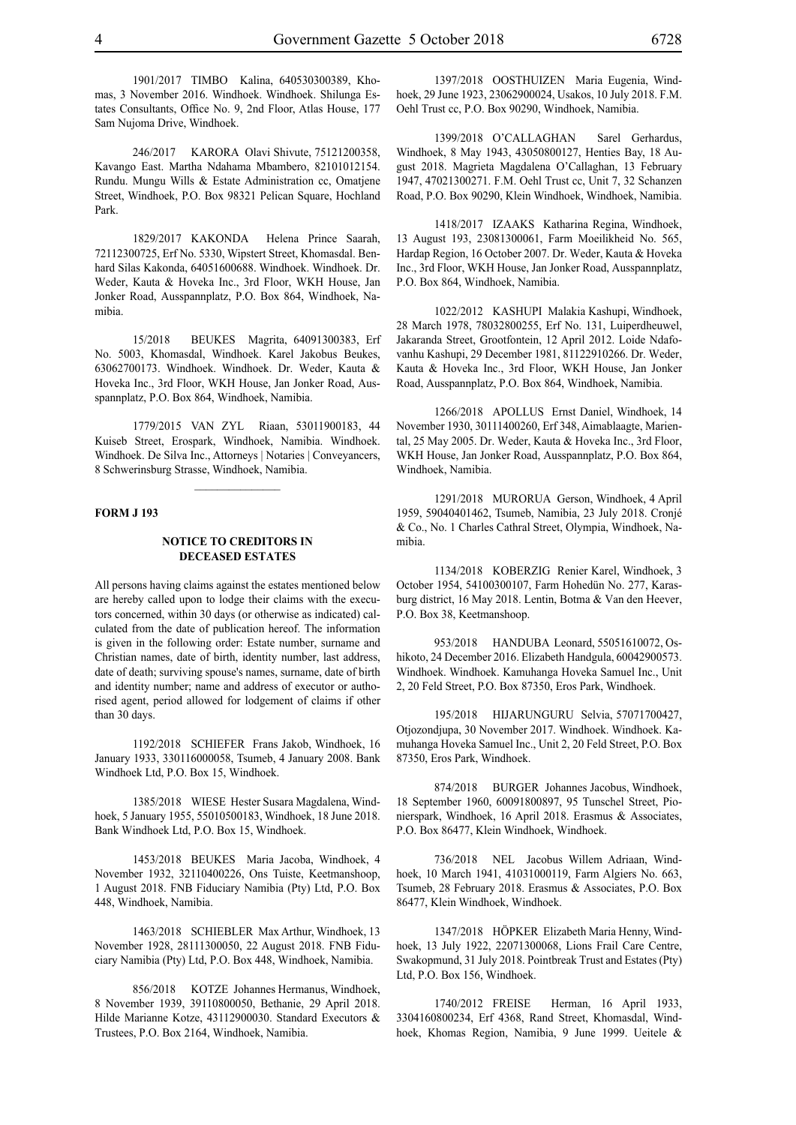1901/2017 TIMBO Kalina, 640530300389, Khomas, 3 November 2016. Windhoek. Windhoek. Shilunga Estates Consultants, Office No. 9, 2nd Floor, Atlas House, 177 Sam Nujoma Drive, Windhoek.

246/2017 KARORA Olavi Shivute, 75121200358, Kavango East. Martha Ndahama Mbambero, 82101012154. Rundu. Mungu Wills & Estate Administration cc, Omatjene Street, Windhoek, P.O. Box 98321 Pelican Square, Hochland Park.

1829/2017 KAKONDA Helena Prince Saarah, 72112300725, Erf No. 5330, Wipstert Street, Khomasdal. Benhard Silas Kakonda, 64051600688. Windhoek. Windhoek. Dr. Weder, Kauta & Hoveka Inc., 3rd Floor, WKH House, Jan Jonker Road, Ausspannplatz, P.O. Box 864, Windhoek, Namibia.

15/2018 BEUKES Magrita, 64091300383, Erf No. 5003, Khomasdal, Windhoek. Karel Jakobus Beukes, 63062700173. Windhoek. Windhoek. Dr. Weder, Kauta & Hoveka Inc., 3rd Floor, WKH House, Jan Jonker Road, Ausspannplatz, P.O. Box 864, Windhoek, Namibia.

1779/2015 VAN ZYL Riaan, 53011900183, 44 Kuiseb Street, Erospark, Windhoek, Namibia. Windhoek. Windhoek. De Silva Inc., Attorneys | Notaries | Conveyancers, 8 Schwerinsburg Strasse, Windhoek, Namibia.

 $\mathcal{L}=\mathcal{L}^{\mathcal{L}}$ 

#### **FORM J 193**

#### **NOTICE TO CREDITORS IN DECEASED ESTATES**

All persons having claims against the estates mentioned below are hereby called upon to lodge their claims with the executors concerned, within 30 days (or otherwise as indicated) calculated from the date of publication hereof. The information is given in the following order: Estate number, surname and Christian names, date of birth, identity number, last address, date of death; surviving spouse's names, surname, date of birth and identity number; name and address of executor or authorised agent, period allowed for lodgement of claims if other than 30 days.

1192/2018 SCHIEFER Frans Jakob, Windhoek, 16 January 1933, 330116000058, Tsumeb, 4 January 2008. Bank Windhoek Ltd, P.O. Box 15, Windhoek.

1385/2018 WIESE Hester Susara Magdalena, Windhoek, 5 January 1955, 55010500183, Windhoek, 18 June 2018. Bank Windhoek Ltd, P.O. Box 15, Windhoek.

1453/2018 BEUKES Maria Jacoba, Windhoek, 4 November 1932, 32110400226, Ons Tuiste, Keetmanshoop, 1 August 2018. FNB Fiduciary Namibia (Pty) Ltd, P.O. Box 448, Windhoek, Namibia.

1463/2018 SCHIEBLER Max Arthur, Windhoek, 13 November 1928, 28111300050, 22 August 2018. FNB Fiduciary Namibia (Pty) Ltd, P.O. Box 448, Windhoek, Namibia.

856/2018 KOTZE Johannes Hermanus, Windhoek, 8 November 1939, 39110800050, Bethanie, 29 April 2018. Hilde Marianne Kotze, 43112900030. Standard Executors & Trustees, P.O. Box 2164, Windhoek, Namibia.

1397/2018 OOSTHUIZEN Maria Eugenia, Windhoek, 29 June 1923, 23062900024, Usakos, 10 July 2018. F.M. Oehl Trust cc, P.O. Box 90290, Windhoek, Namibia.

1399/2018 O'CALLAGHAN Sarel Gerhardus, Windhoek, 8 May 1943, 43050800127, Henties Bay, 18 August 2018. Magrieta Magdalena O'Callaghan, 13 February 1947, 47021300271. F.M. Oehl Trust cc, Unit 7, 32 Schanzen Road, P.O. Box 90290, Klein Windhoek, Windhoek, Namibia.

1418/2017 IZAAKS Katharina Regina, Windhoek, 13 August 193, 23081300061, Farm Moeilikheid No. 565, Hardap Region, 16 October 2007. Dr. Weder, Kauta & Hoveka Inc., 3rd Floor, WKH House, Jan Jonker Road, Ausspannplatz, P.O. Box 864, Windhoek, Namibia.

1022/2012 KASHUPI Malakia Kashupi, Windhoek, 28 March 1978, 78032800255, Erf No. 131, Luiperdheuwel, Jakaranda Street, Grootfontein, 12 April 2012. Loide Ndafovanhu Kashupi, 29 December 1981, 81122910266. Dr. Weder, Kauta & Hoveka Inc., 3rd Floor, WKH House, Jan Jonker Road, Ausspannplatz, P.O. Box 864, Windhoek, Namibia.

1266/2018 APOLLUS Ernst Daniel, Windhoek, 14 November 1930, 30111400260, Erf 348, Aimablaagte, Mariental, 25 May 2005. Dr. Weder, Kauta & Hoveka Inc., 3rd Floor, WKH House, Jan Jonker Road, Ausspannplatz, P.O. Box 864, Windhoek, Namibia.

1291/2018 MURORUA Gerson, Windhoek, 4 April 1959, 59040401462, Tsumeb, Namibia, 23 July 2018. Cronjé & Co., No. 1 Charles Cathral Street, Olympia, Windhoek, Namibia.

1134/2018 KOBERZIG Renier Karel, Windhoek, 3 October 1954, 54100300107, Farm Hohedün No. 277, Karasburg district, 16 May 2018. Lentin, Botma & Van den Heever, P.O. Box 38, Keetmanshoop.

953/2018 HANDUBA Leonard, 55051610072, Oshikoto, 24 December 2016. Elizabeth Handgula, 60042900573. Windhoek. Windhoek. Kamuhanga Hoveka Samuel Inc., Unit 2, 20 Feld Street, P.O. Box 87350, Eros Park, Windhoek.

195/2018 HIJARUNGURU Selvia, 57071700427, Otjozondjupa, 30 November 2017. Windhoek. Windhoek. Kamuhanga Hoveka Samuel Inc., Unit 2, 20 Feld Street, P.O. Box 87350, Eros Park, Windhoek.

874/2018 BURGER Johannes Jacobus, Windhoek, 18 September 1960, 60091800897, 95 Tunschel Street, Pionierspark, Windhoek, 16 April 2018. Erasmus & Associates, P.O. Box 86477, Klein Windhoek, Windhoek.

736/2018 NEL Jacobus Willem Adriaan, Windhoek, 10 March 1941, 41031000119, Farm Algiers No. 663, Tsumeb, 28 February 2018. Erasmus & Associates, P.O. Box 86477, Klein Windhoek, Windhoek.

1347/2018 HÖPKER Elizabeth Maria Henny, Windhoek, 13 July 1922, 22071300068, Lions Frail Care Centre, Swakopmund, 31 July 2018. Pointbreak Trust and Estates (Pty) Ltd, P.O. Box 156, Windhoek.

1740/2012 FREISE Herman, 16 April 1933, 3304160800234, Erf 4368, Rand Street, Khomasdal, Windhoek, Khomas Region, Namibia, 9 June 1999. Ueitele &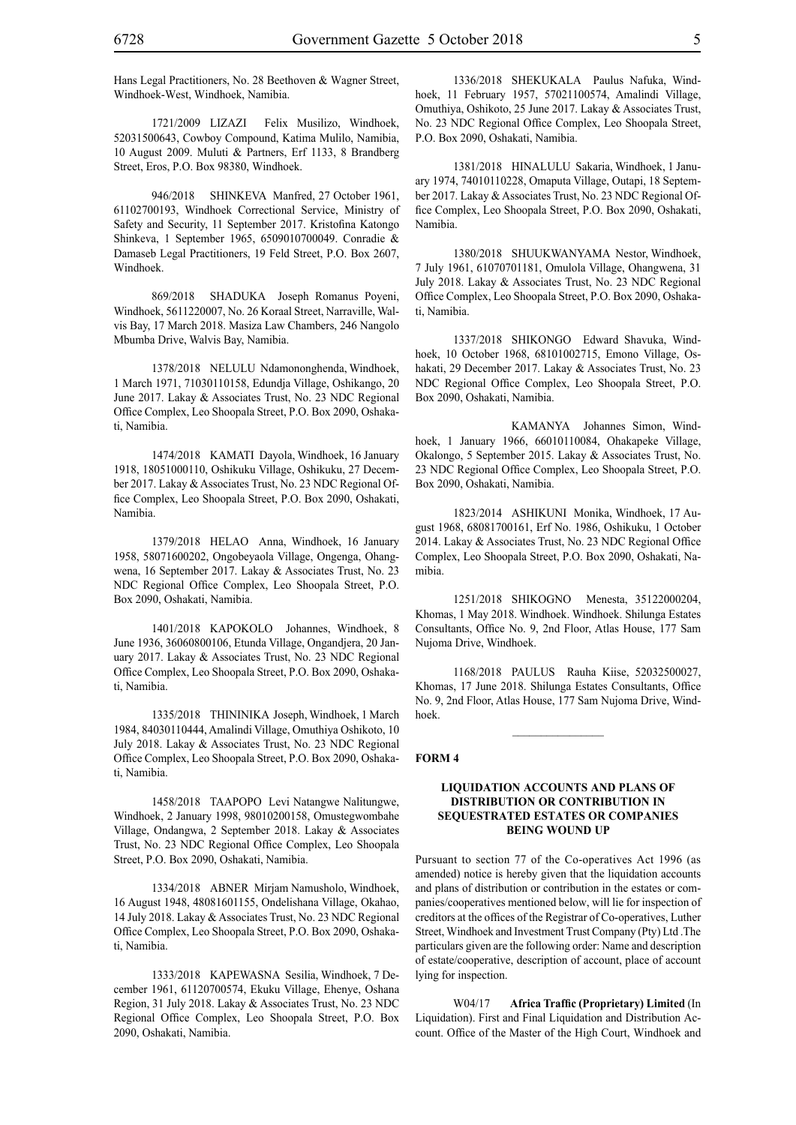Hans Legal Practitioners, No. 28 Beethoven & Wagner Street, Windhoek-West, Windhoek, Namibia.

1721/2009 LIZAZI Felix Musilizo, Windhoek, 52031500643, Cowboy Compound, Katima Mulilo, Namibia, 10 August 2009. Muluti & Partners, Erf 1133, 8 Brandberg Street, Eros, P.O. Box 98380, Windhoek.

946/2018 SHINKEVA Manfred, 27 October 1961, 61102700193, Windhoek Correctional Service, Ministry of Safety and Security, 11 September 2017. Kristofina Katongo Shinkeva, 1 September 1965, 6509010700049. Conradie & Damaseb Legal Practitioners, 19 Feld Street, P.O. Box 2607, Windhoek.

869/2018 shaduka Joseph Romanus Poyeni, Windhoek, 5611220007, No. 26 Koraal Street, Narraville, Walvis Bay, 17 March 2018. Masiza Law Chambers, 246 Nangolo Mbumba Drive, Walvis Bay, Namibia.

1378/2018 NELULU Ndamononghenda, Windhoek, 1 March 1971, 71030110158, Edundja Village, Oshikango, 20 June 2017. Lakay & Associates Trust, No. 23 NDC Regional Office Complex, Leo Shoopala Street, P.O. Box 2090, Oshakati, Namibia.

1474/2018 KAMATI Dayola, Windhoek, 16 January 1918, 18051000110, Oshikuku Village, Oshikuku, 27 December 2017. Lakay & Associates Trust, No. 23 NDC Regional Office Complex, Leo Shoopala Street, P.O. Box 2090, Oshakati, Namibia.

1379/2018 HELAO Anna, Windhoek, 16 January 1958, 58071600202, Ongobeyaola Village, Ongenga, Ohangwena, 16 September 2017. Lakay & Associates Trust, No. 23 NDC Regional Office Complex, Leo Shoopala Street, P.O. Box 2090, Oshakati, Namibia.

1401/2018 KAPOKOLO Johannes, Windhoek, 8 June 1936, 36060800106, Etunda Village, Ongandjera, 20 January 2017. Lakay & Associates Trust, No. 23 NDC Regional Office Complex, Leo Shoopala Street, P.O. Box 2090, Oshakati, Namibia.

1335/2018 THININIKA Joseph, Windhoek, 1 March 1984, 84030110444, Amalindi Village, Omuthiya Oshikoto, 10 July 2018. Lakay & Associates Trust, No. 23 NDC Regional Office Complex, Leo Shoopala Street, P.O. Box 2090, Oshakati, Namibia.

1458/2018 TAAPOPO Levi Natangwe Nalitungwe, Windhoek, 2 January 1998, 98010200158, Omustegwombahe Village, Ondangwa, 2 September 2018. Lakay & Associates Trust, No. 23 NDC Regional Office Complex, Leo Shoopala Street, P.O. Box 2090, Oshakati, Namibia.

1334/2018 ABNER Mirjam Namusholo, Windhoek, 16 August 1948, 48081601155, Ondelishana Village, Okahao, 14 July 2018. Lakay & Associates Trust, No. 23 NDC Regional Office Complex, Leo Shoopala Street, P.O. Box 2090, Oshakati, Namibia.

1333/2018 KAPEWASNA Sesilia, Windhoek, 7 December 1961, 61120700574, Ekuku Village, Ehenye, Oshana Region, 31 July 2018. Lakay & Associates Trust, No. 23 NDC Regional Office Complex, Leo Shoopala Street, P.O. Box 2090, Oshakati, Namibia.

1336/2018 SHEKUKALA Paulus Nafuka, Windhoek, 11 February 1957, 57021100574, Amalindi Village, Omuthiya, Oshikoto, 25 June 2017. Lakay & Associates Trust, No. 23 NDC Regional Office Complex, Leo Shoopala Street, P.O. Box 2090, Oshakati, Namibia.

1381/2018 HINALULU Sakaria, Windhoek, 1 January 1974, 74010110228, Omaputa Village, Outapi, 18 September 2017. Lakay & Associates Trust, No. 23 NDC Regional Office Complex, Leo Shoopala Street, P.O. Box 2090, Oshakati, Namibia.

1380/2018 SHUUKWANYAMA Nestor, Windhoek, 7 July 1961, 61070701181, Omulola Village, Ohangwena, 31 July 2018. Lakay & Associates Trust, No. 23 NDC Regional Office Complex, Leo Shoopala Street, P.O. Box 2090, Oshakati, Namibia.

1337/2018 SHIKONGO Edward Shavuka, Windhoek, 10 October 1968, 68101002715, Emono Village, Oshakati, 29 December 2017. Lakay & Associates Trust, No. 23 NDC Regional Office Complex, Leo Shoopala Street, P.O. Box 2090, Oshakati, Namibia.

 kamanya Johannes Simon, Windhoek, 1 January 1966, 66010110084, Ohakapeke Village, Okalongo, 5 September 2015. Lakay & Associates Trust, No. 23 NDC Regional Office Complex, Leo Shoopala Street, P.O. Box 2090, Oshakati, Namibia.

1823/2014 ASHIKUNI Monika, Windhoek, 17 August 1968, 68081700161, Erf No. 1986, Oshikuku, 1 October 2014. Lakay & Associates Trust, No. 23 NDC Regional Office Complex, Leo Shoopala Street, P.O. Box 2090, Oshakati, Namibia.

1251/2018 SHIKOGNO Menesta, 35122000204, Khomas, 1 May 2018. Windhoek. Windhoek. Shilunga Estates Consultants, Office No. 9, 2nd Floor, Atlas House, 177 Sam Nujoma Drive, Windhoek.

1168/2018 PAULUS Rauha Kiise, 52032500027, Khomas, 17 June 2018. Shilunga Estates Consultants, Office No. 9, 2nd Floor, Atlas House, 177 Sam Nujoma Drive, Windhoek.

 $\frac{1}{2}$ 

#### **FORM 4**

#### **LIQUIDATION ACCOUNTS AND PLANS OF DISTRIBUTION OR CONTRIBUTION IN SEQUESTRATED ESTATES OR COMPANIES BEING WOUND UP**

Pursuant to section 77 of the Co-operatives Act 1996 (as amended) notice is hereby given that the liquidation accounts and plans of distribution or contribution in the estates or companies/cooperatives mentioned below, will lie for inspection of creditors at the offices of the Registrar of Co-operatives, Luther Street, Windhoek and Investment Trust Company (Pty) Ltd .The particulars given are the following order: Name and description of estate/cooperative, description of account, place of account lying for inspection.

W04/17 **Africa Traffic (Proprietary) Limited** (In Liquidation). First and Final Liquidation and Distribution Account. Office of the Master of the High Court, Windhoek and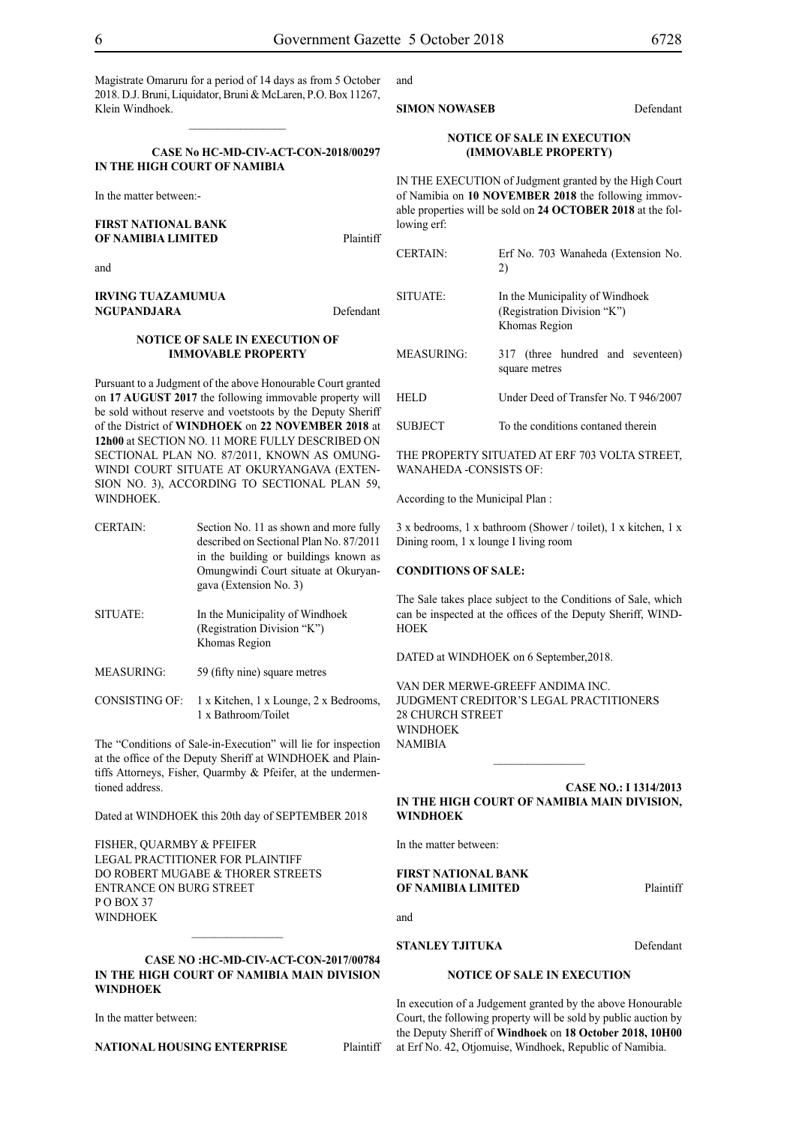Magistrate Omaruru for a period of 14 days as from 5 October 2018. D.J. Bruni, Liquidator, Bruni & McLaren, P.O. Box 11267, Klein Windhoek.

 $\frac{1}{2}$ 

#### **CASE No HC-MD-CIV-ACT-CON-2018/00297 IN THE HIGH COURT OF NAMIBIA**

In the matter between:-

#### **FIRST NATIONAL BANK OF NAMIBIA LIMITED** Plaintiff

and

**IRVING TUAZAMUMUA NGUPANDJARA** Defendant

#### **NOTICE OF SALE IN EXECUTION OF IMMOVABLE PROPERTY**

Pursuant to a Judgment of the above Honourable Court granted on **17 AUGUST 2017** the following immovable property will be sold without reserve and voetstoots by the Deputy Sheriff of the District of **WINDHOEK** on **22 NOVEMBER 2018** at **12h00** at SECTION NO. 11 MORE FULLY DESCRIBED ON SECTIONAL PLAN NO. 87/2011, KNOWN AS OMUNG-WINDI COURT SITUATE AT OKURYANGAVA (EXTEN-SION NO. 3), ACCORDING TO SECTIONAL PLAN 59, WINDHOEK.

- CERTAIN: Section No. 11 as shown and more fully described on Sectional Plan No. 87/2011 in the building or buildings known as Omungwindi Court situate at Okuryangava (Extension No. 3)
- SITUATE: In the Municipality of Windhoek (Registration Division "K") Khomas Region
- MEASURING: 59 (fifty nine) square metres
- CONSISTING OF: 1 x Kitchen, 1 x Lounge, 2 x Bedrooms, 1 x Bathroom/Toilet

The "Conditions of Sale-in-Execution" will lie for inspection at the office of the Deputy Sheriff at WINDHOEK and Plaintiffs Attorneys, Fisher, Quarmby & Pfeifer, at the undermentioned address.

Dated at WINDHOEK this 20th day of SEPTEMBER 2018

FISHER, QUARMBY & PFEIFER LEGAL PRACTITIONER FOR Plaintiff do Robert Mugabe & Thorer Streets entrance on Burg Street P O Box 37 WINDHOEK

#### **CASE NO :HC-MD-CIV-ACT-CON-2017/00784 IN THE HIGH COURT OF NAMIBIA MAIN DIVISION WINDHOEK**

 $\frac{1}{2}$ 

In the matter between:

**NATIONAL HOUSING ENTERPRISE** Plaintiff

### and

#### **SIMON NOWASEB** Defendant

#### **NOTICE OF SALE IN EXECUTION (IMMOVABLE PROPERTY)**

IN THE EXECUTION of Judgment granted by the High Court of Namibia on **10 NOVEMBER 2018** the following immovable properties will be sold on **24 OCTOBER 2018** at the following erf:

| <b>CERTAIN:</b> | Erf No. 703 Wanaheda (Extension No.<br>2)                                       |
|-----------------|---------------------------------------------------------------------------------|
| SITUATE:        | In the Municipality of Windhoek<br>(Registration Division "K")<br>Khomas Region |
| MEASURING:      | 317 (three hundred and seventeen)<br>square metres                              |
| <b>HELD</b>     | Under Deed of Transfer No. T 946/2007                                           |
| <b>SUBJECT</b>  | To the conditions contaned therein                                              |

THE PROPERTY SITUATED AT ERF 703 VOLTA STREET, WANAHEDA -CONSISTS OF:

According to the Municipal Plan :

3 x bedrooms, 1 x bathroom (Shower / toilet), 1 x kitchen, 1 x Dining room, 1 x lounge I living room

#### **CONDITIONS OF SALE:**

The Sale takes place subject to the Conditions of Sale, which can be inspected at the offices of the Deputy Sheriff, WIND-**HOEK** 

DATED at WINDHOEK on 6 September,2018.

VAN DER MERWE-GREEFF ANDIMA INC. JUDGMENT CREDITOR'S LEGAL PRACTITIONERS 28 CHURCH STREET WINDHOEK NAMIBIA  $\frac{1}{2}$ 

**CASE NO.: I 1314/2013 IN THE HIGH COURT OF NAMIBIA MAIN DIVISION, WINDHOEK**

In the matter between:

#### **FIRST NATIONAL BANK OF NAMIBIA LIMITED** Plaintiff

**STANLEY TJITUKA** Defendant

#### **NOTICE OF SALE IN EXECUTION**

In execution of a Judgement granted by the above Honourable Court, the following property will be sold by public auction by the Deputy Sheriff of **Windhoek** on **18 October 2018, 10H00** at Erf No. 42, Otjomuise, Windhoek, Republic of Namibia.

and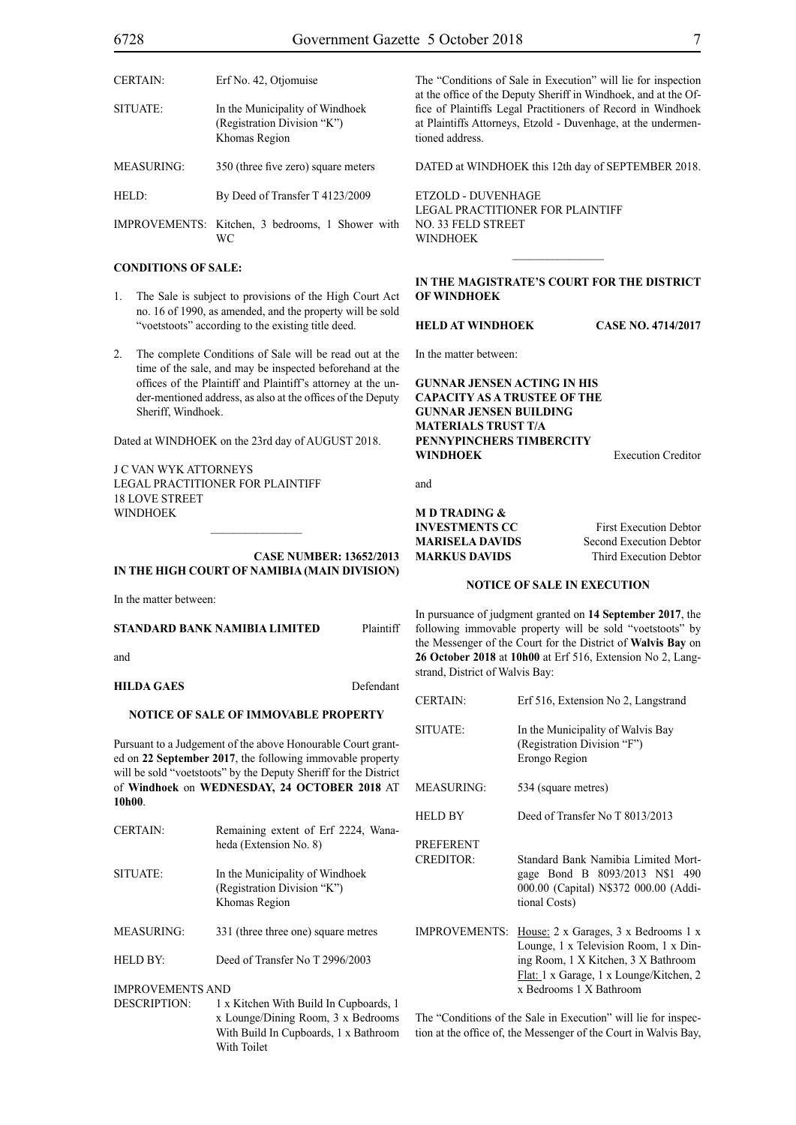| <b>CERTAIN:</b> | Erf No. 42, Otjomuise                                                           |
|-----------------|---------------------------------------------------------------------------------|
| SITUATE:        | In the Municipality of Windhoek<br>(Registration Division "K")<br>Khomas Region |
| MEASURING:      | 350 (three five zero) square meters                                             |
| HELD:           | By Deed of Transfer T 4123/2009                                                 |
|                 | IMPROVEMENTS: Kitchen, 3 bedrooms, 1 Shower with<br>WС                          |

#### **CONDITIONS OF SALE:**

- 1. The Sale is subject to provisions of the High Court Act no. 16 of 1990, as amended, and the property will be sold "voetstoots" according to the existing title deed.
- 2. The complete Conditions of Sale will be read out at the time of the sale, and may be inspected beforehand at the offices of the Plaintiff and Plaintiff's attorney at the under-mentioned address, as also at the offices of the Deputy Sheriff, Windhoek.

Dated at WINDHOEK on the 23rd day of AUGUST 2018.

J C VAN WYK ATTORNEYS Legal Practitioner for Plaintiff 18 LOVE STREET WINDHOEK

**Case Number: 13652/2013 IN THE HIGH COURT OF NAMIBIA (Main Division)**

In the matter between:

| STANDARD BANK NAMIBIA LIMITED | Plaintiff |
|-------------------------------|-----------|
|                               |           |

and

**HILDA GAES** Defendant

#### **NOTICE OF SALE OF IMMOVABLE PROPERTY**

Pursuant to a Judgement of the above Honourable Court granted on **22 September 2017**, the following immovable property will be sold "voetstoots" by the Deputy Sheriff for the District of **Windhoek** on **WEDNESDAY, 24 OCTOBER 2018** AT **10h00**.

CERTAIN: Remaining extent of Erf 2224, Wanaheda (Extension No. 8) SITUATE: In the Municipality of Windhoek (Registration Division "K") Khomas Region MEASURING: 331 (three three one) square metres HELD BY: Deed of Transfer No T 2996/2003

IMPROVEMENTS AND

DESCRIPTION: 1 x Kitchen With Build In Cupboards, 1 x Lounge/Dining Room, 3 x Bedrooms With Build In Cupboards, 1 x Bathroom With Toilet

The "Conditions of Sale in Execution" will lie for inspection at the office of the Deputy Sheriff in Windhoek, and at the Office of Plaintiffs Legal Practitioners of Record in Windhoek at Plaintiffs Attorneys, Etzold - Duvenhage, at the undermentioned address.

DATED at WINDHOEK this 12th day of SEPTEMBER 2018.

ETZOLD - DUVENHAGE LEGAL PRACTITIONER FOR Plaintiff NO. 33 FELD STREET WINDHOEK

**In the MAGISTRATE'S COURT for the DISTRICT of WINDHOEK** 

 $\frac{1}{2}$ 

**HELD at WINDHOEK Case No. 4714/2017**

In the matter between:

**GUNNAR JENSEN ACTING IN HIS CAPACITY AS A TRUSTEE OF THE GUNNAR JENSEN BUILDING MATERIALS TRUST T/A PENNYPINCHERS TIMBERCITY WINDHOEK** Execution Creditor

and

# **M D TRADING &**

**INVESTMENTS CC** First Execution Debtor **MARISELA DAVIDS** Second Execution Debtor **MARKUS DAVIDS** Third Execution Debtor

#### **NOTICE OF SALE IN EXECUTION**

In pursuance of judgment granted on **14 September 2017**, the following immovable property will be sold "voetstoots" by the Messenger of the Court for the District of **Walvis Bay** on **26 October 2018** at **10h00** at Erf 516, Extension No 2, Langstrand, District of Walvis Bay:

| <b>CERTAIN:</b>                      | Erf 516, Extension No 2, Langstrand                                                                                                                                                        |
|--------------------------------------|--------------------------------------------------------------------------------------------------------------------------------------------------------------------------------------------|
| SITUATE:                             | In the Municipality of Walvis Bay<br>(Registration Division "F")<br>Erongo Region                                                                                                          |
| MEASURING:                           | 534 (square metres)                                                                                                                                                                        |
| HELD BY                              | Deed of Transfer No T 8013/2013                                                                                                                                                            |
| <b>PREFERENT</b><br><b>CREDITOR:</b> | Standard Bank Namibia Limited Mort-<br>gage Bond B 8093/2013 N\$1 490<br>000.00 (Capital) N\$372 000.00 (Addi-<br>tional Costs)                                                            |
| <b>IMPROVEMENTS:</b>                 | House: 2 x Garages, 3 x Bedrooms 1 x<br>Lounge, 1 x Television Room, 1 x Din-<br>ing Room, 1 X Kitchen, 3 X Bathroom<br>Flat: 1 x Garage, 1 x Lounge/Kitchen, 2<br>x Bedrooms 1 X Bathroom |

The "Conditions of the Sale in Execution" will lie for inspection at the office of, the Messenger of the Court in Walvis Bay,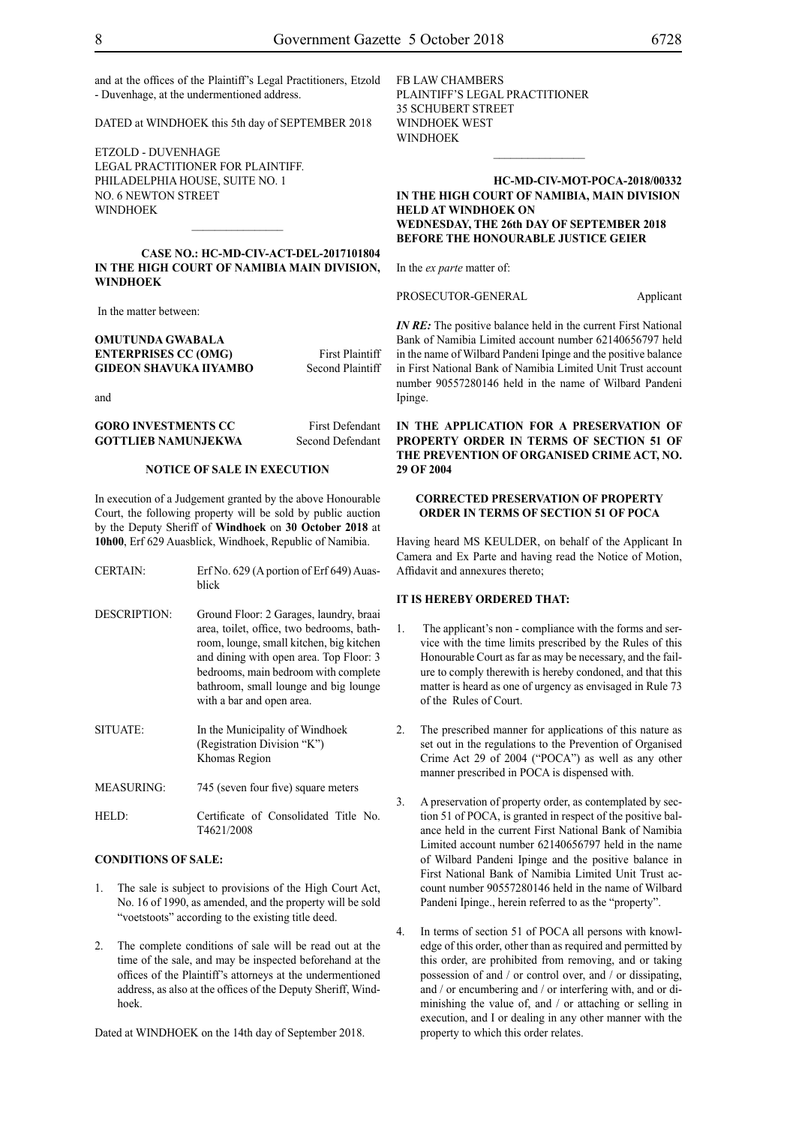and at the offices of the Plaintiff's Legal Practitioners, Etzold - Duvenhage, at the undermentioned address.

DATED at WINDHOEK this 5th day of SEPTEMBER 2018

ETZOLD - DUVENHAGE LEGAL PRACTITIONER FOR Plaintiff. PHILADELPHIA HOUSE, SUITE NO. 1 NO. 6 NEWTON STREET WINDHOEK

#### **CASE NO.: HC-MD-CIV-ACT-DEL-2017101804 IN THE HIGH COURT OF NAMIBIA MAIN DIVISION, WINDHOEK**

 $\frac{1}{2}$ 

In the matter between:

#### **OMUTUNDA GWABALA ENTERPRISES CC (OMG)** First Plaintiff **GIDEON SHAVUKA IIYAMBO** Second Plaintiff

and

**GORO INVESTMENTS CC** First Defendant **GOTTLIEB NAMUNJEKWA** Second Defendant

#### **NOTICE OF SALE IN EXECUTION**

In execution of a Judgement granted by the above Honourable Court, the following property will be sold by public auction by the Deputy Sheriff of **Windhoek** on **30 October 2018** at **10h00**, Erf 629 Auasblick, Windhoek, Republic of Namibia.

| <b>CERTAIN:</b>     | Erf No. 629 (A portion of Erf 649) Auas-<br>blick                                                                                                                                                                                                                                         |
|---------------------|-------------------------------------------------------------------------------------------------------------------------------------------------------------------------------------------------------------------------------------------------------------------------------------------|
| <b>DESCRIPTION:</b> | Ground Floor: 2 Garages, laundry, braai<br>area, toilet, office, two bedrooms, bath-<br>room, lounge, small kitchen, big kitchen<br>and dining with open area. Top Floor: 3<br>bedrooms, main bedroom with complete<br>bathroom, small lounge and big lounge<br>with a bar and open area. |
| SITUATE:            | In the Municipality of Windhoek<br>(Registration Division "K")<br>Khomas Region                                                                                                                                                                                                           |
| <b>MEASURING:</b>   | 745 (seven four five) square meters                                                                                                                                                                                                                                                       |
| HELD:               | Certificate of Consolidated Title No.<br>T4621/2008                                                                                                                                                                                                                                       |

#### **CONDITIONS OF SALE:**

- The sale is subject to provisions of the High Court Act, No. 16 of 1990, as amended, and the property will be sold "voetstoots" according to the existing title deed.
- 2. The complete conditions of sale will be read out at the time of the sale, and may be inspected beforehand at the offices of the Plaintiff's attorneys at the undermentioned address, as also at the offices of the Deputy Sheriff, Windhoek.

Dated at WINDHOEK on the 14th day of September 2018.

FB LAW CHAMBERS Plaintiff'S LEGAL PRACTITIONER 35 SCHUBERT STREET WINDHOEK WEST WINDHOEK

#### **HC-MD-CIV-MOT-POCA-2018/00332 IN THE HIGH COURT OF NAMIBIA, MAIN DIVISION HELD AT WINDHOEK ON WEDNESDAY, THE 26th DAY OF SEPTEMBER 2018 BEFORE THE HONOURABLE JUSTICE GEIER**

 $\frac{1}{2}$ 

In the *ex parte* matter of:

PROSECUTOR-GENERAL Applicant

*IN RE*: The positive balance held in the current First National Bank of Namibia Limited account number 62140656797 held in the name of Wilbard Pandeni Ipinge and the positive balance in First National Bank of Namibia Limited Unit Trust account number 90557280146 held in the name of Wilbard Pandeni Ipinge.

**IN THE APPLICATION FOR A PRESERVATION OF PROPERTY ORDER IN TERMS OF SECTION 51 OF THE PREVENTION OF ORGANISED CRIME ACT, NO. 29 OF 2004**

#### **CORRECTED PRESERVATION OF PROPERTY ORDER IN TERMS OF SECTION 51 OF POCA**

Having heard MS KEULDER, on behalf of the Applicant In Camera and Ex Parte and having read the Notice of Motion, Affidavit and annexures thereto;

#### **IT IS HEREBY ORDERED THAT:**

- 1. The applicant's non compliance with the forms and service with the time limits prescribed by the Rules of this Honourable Court as far as may be necessary, and the failure to comply therewith is hereby condoned, and that this matter is heard as one of urgency as envisaged in Rule 73 of the Rules of Court.
- 2. The prescribed manner for applications of this nature as set out in the regulations to the Prevention of Organised Crime Act 29 of 2004 ("POCA") as well as any other manner prescribed in POCA is dispensed with.
- 3. A preservation of property order, as contemplated by section 51 of POCA, is granted in respect of the positive balance held in the current First National Bank of Namibia Limited account number 62140656797 held in the name of Wilbard Pandeni Ipinge and the positive balance in First National Bank of Namibia Limited Unit Trust account number 90557280146 held in the name of Wilbard Pandeni Ipinge., herein referred to as the "property".
- 4. In terms of section 51 of POCA all persons with knowledge of this order, other than as required and permitted by this order, are prohibited from removing, and or taking possession of and / or control over, and / or dissipating, and / or encumbering and / or interfering with, and or diminishing the value of, and / or attaching or selling in execution, and I or dealing in any other manner with the property to which this order relates.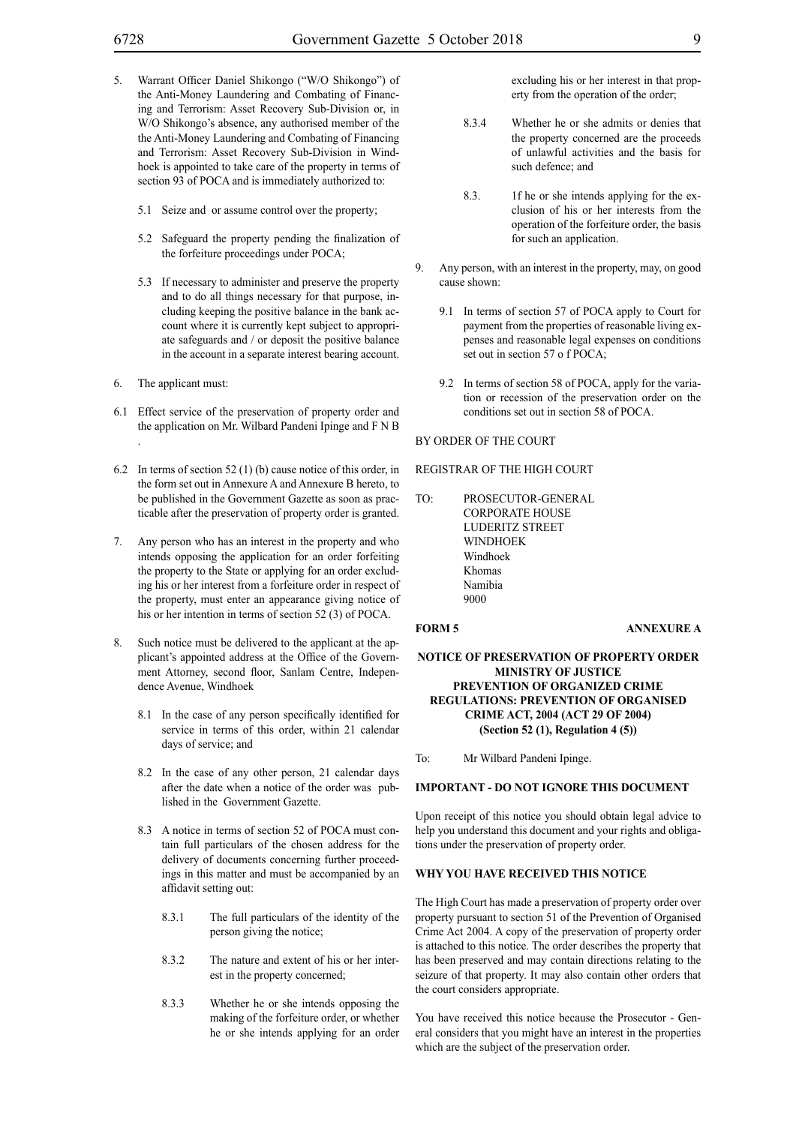- 5. Warrant Officer Daniel Shikongo ("W/O Shikongo") of the Anti-Money Laundering and Combating of Financing and Terrorism: Asset Recovery Sub-Division or, in W/O Shikongo's absence, any authorised member of the the Anti-Money Laundering and Combating of Financing and Terrorism: Asset Recovery Sub-Division in Windhoek is appointed to take care of the property in terms of section 93 of POCA and is immediately authorized to:
	- 5.1 Seize and or assume control over the property;
	- 5.2 Safeguard the property pending the finalization of the forfeiture proceedings under POCA;
	- 5.3 If necessary to administer and preserve the property and to do all things necessary for that purpose, including keeping the positive balance in the bank account where it is currently kept subject to appropriate safeguards and / or deposit the positive balance in the account in a separate interest bearing account.
- 6. The applicant must:
- 6.1 Effect service of the preservation of property order and the application on Mr. Wilbard Pandeni Ipinge and F N B .
- 6.2 In terms of section 52 (1) (b) cause notice of this order, in the form set out in Annexure A and Annexure B hereto, to be published in the Government Gazette as soon as practicable after the preservation of property order is granted.
- 7. Any person who has an interest in the property and who intends opposing the application for an order forfeiting the property to the State or applying for an order excluding his or her interest from a forfeiture order in respect of the property, must enter an appearance giving notice of his or her intention in terms of section 52 (3) of POCA.
- 8. Such notice must be delivered to the applicant at the applicant's appointed address at the Office of the Government Attorney, second floor, Sanlam Centre, Independence Avenue, Windhoek
	- 8.1 In the case of any person specifically identified for service in terms of this order, within 21 calendar days of service; and
	- 8.2 In the case of any other person, 21 calendar days after the date when a notice of the order was published in the Government Gazette.
	- 8.3 A notice in terms of section 52 of POCA must contain full particulars of the chosen address for the delivery of documents concerning further proceedings in this matter and must be accompanied by an affidavit setting out:
		- 8.3.1 The full particulars of the identity of the person giving the notice;
		- 8.3.2 The nature and extent of his or her interest in the property concerned;
		- 8.3.3 Whether he or she intends opposing the making of the forfeiture order, or whether he or she intends applying for an order

excluding his or her interest in that property from the operation of the order;

- 8.3.4 Whether he or she admits or denies that the property concerned are the proceeds of unlawful activities and the basis for such defence; and
- 8.3. 1f he or she intends applying for the exclusion of his or her interests from the operation of the forfeiture order, the basis for such an application.
- Any person, with an interest in the property, may, on good cause shown:
	- 9.1 In terms of section 57 of POCA apply to Court for payment from the properties of reasonable living expenses and reasonable legal expenses on conditions set out in section 57 o f POCA;
	- 9.2 In terms of section 58 of POCA, apply for the variation or recession of the preservation order on the conditions set out in section 58 of POCA.

#### BY ORDER OF THE COURT

#### REGISTRAR OF THE HIGH COURT

TO: PROSECUTOR-GENERAL CORPORATE HOUSE LUDERITZ STREET WINDHOEK Windhoek Khomas Namibia 9000

#### **FORM 5 ANNEXURE A**

#### **NOTICE OF PRESERVATION OF PROPERTY ORDER MINISTRY OF JUSTICE PREVENTION OF ORGANIZED CRIME REGULATIONS: PREVENTION OF ORGANISED CRIME ACT, 2004 (ACT 29 OF 2004) (Section 52 (1), Regulation 4 (5))**

To: Mr Wilbard Pandeni Ipinge.

#### **IMPORTANT - DO NOT IGNORE THIS DOCUMENT**

Upon receipt of this notice you should obtain legal advice to help you understand this document and your rights and obligations under the preservation of property order.

#### **WHY YOU HAVE RECEIVED THIS NOTICE**

The High Court has made a preservation of property order over property pursuant to section 51 of the Prevention of Organised Crime Act 2004. A copy of the preservation of property order is attached to this notice. The order describes the property that has been preserved and may contain directions relating to the seizure of that property. It may also contain other orders that the court considers appropriate.

You have received this notice because the Prosecutor - General considers that you might have an interest in the properties which are the subject of the preservation order.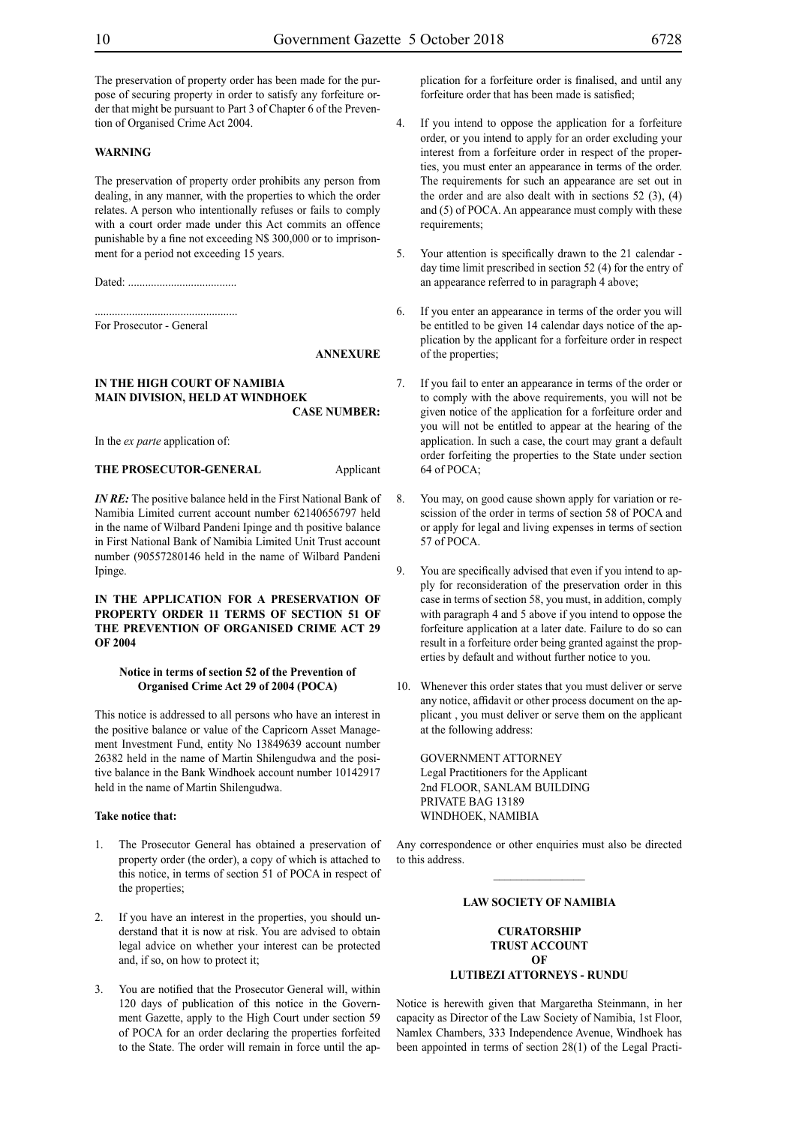The preservation of property order has been made for the purpose of securing property in order to satisfy any forfeiture order that might be pursuant to Part 3 of Chapter 6 of the Prevention of Organised Crime Act 2004.

#### **WARNING**

The preservation of property order prohibits any person from dealing, in any manner, with the properties to which the order relates. A person who intentionally refuses or fails to comply with a court order made under this Act commits an offence punishable by a fine not exceeding N\$ 300,000 or to imprisonment for a period not exceeding 15 years.

Dated: ......................................

.................................................. For Prosecutor - General

#### **ANNEXURE**

#### **IN THE HIGH COURT OF NAMIBIA MAIN DIVISION, HELD AT WINDHOEK CASE NUMBER:**

In the *ex parte* application of:

#### **THE PROSECUTOR-GENERAL** Applicant

*IN RE*: The positive balance held in the First National Bank of Namibia Limited current account number 62140656797 held in the name of Wilbard Pandeni Ipinge and th positive balance in First National Bank of Namibia Limited Unit Trust account number (90557280146 held in the name of Wilbard Pandeni Ipinge.

#### **IN THE APPLICATION FOR A PRESERVATION OF PROPERTY ORDER 11 TERMS OF SECTION 51 OF THE PREVENTION OF ORGANISED CRIME ACT 29 OF 2004**

#### **Notice in terms of section 52 of the Prevention of Organised Crime Act 29 of 2004 (POCA)**

This notice is addressed to all persons who have an interest in the positive balance or value of the Capricorn Asset Management Investment Fund, entity No 13849639 account number 26382 held in the name of Martin Shilengudwa and the positive balance in the Bank Windhoek account number 10142917 held in the name of Martin Shilengudwa.

#### **Take notice that:**

- 1. The Prosecutor General has obtained a preservation of property order (the order), a copy of which is attached to this notice, in terms of section 51 of POCA in respect of the properties;
- 2. If you have an interest in the properties, you should understand that it is now at risk. You are advised to obtain legal advice on whether your interest can be protected and, if so, on how to protect it;
- You are notified that the Prosecutor General will, within 120 days of publication of this notice in the Government Gazette, apply to the High Court under section 59 of POCA for an order declaring the properties forfeited to the State. The order will remain in force until the ap-

plication for a forfeiture order is finalised, and until any forfeiture order that has been made is satisfied;

- 4. If you intend to oppose the application for a forfeiture order, or you intend to apply for an order excluding your interest from a forfeiture order in respect of the properties, you must enter an appearance in terms of the order. The requirements for such an appearance are set out in the order and are also dealt with in sections  $52$  (3), (4) and (5) of POCA. An appearance must comply with these requirements;
- 5. Your attention is specifically drawn to the 21 calendar day time limit prescribed in section 52 (4) for the entry of an appearance referred to in paragraph 4 above;
- 6. If you enter an appearance in terms of the order you will be entitled to be given 14 calendar days notice of the application by the applicant for a forfeiture order in respect of the properties;
- 7. If you fail to enter an appearance in terms of the order or to comply with the above requirements, you will not be given notice of the application for a forfeiture order and you will not be entitled to appear at the hearing of the application. In such a case, the court may grant a default order forfeiting the properties to the State under section 64 of POCA;
- 8. You may, on good cause shown apply for variation or rescission of the order in terms of section 58 of POCA and or apply for legal and living expenses in terms of section 57 of POCA.
- 9. You are specifically advised that even if you intend to apply for reconsideration of the preservation order in this case in terms of section 58, you must, in addition, comply with paragraph 4 and 5 above if you intend to oppose the forfeiture application at a later date. Failure to do so can result in a forfeiture order being granted against the properties by default and without further notice to you.
- 10. Whenever this order states that you must deliver or serve any notice, affidavit or other process document on the applicant , you must deliver or serve them on the applicant at the following address:

GOVERNMENT ATTORNEY Legal Practitioners for the Applicant 2nd FLOOR, SANLAM BUILDING PRIVATE BAG 13189 WINDHOEK, NAMIBIA

Any correspondence or other enquiries must also be directed to this address.  $\mathcal{L}_\text{max}$ 

#### **LAW SOCIETY OF NAMIBIA**

#### **CURATORSHIP TRUST ACCOUNT OF LUTIBEZI ATTORNEYS - RUNDU**

Notice is herewith given that Margaretha Steinmann, in her capacity as Director of the Law Society of Namibia, 1st Floor, Namlex Chambers, 333 Independence Avenue, Windhoek has been appointed in terms of section 28(1) of the Legal Practi-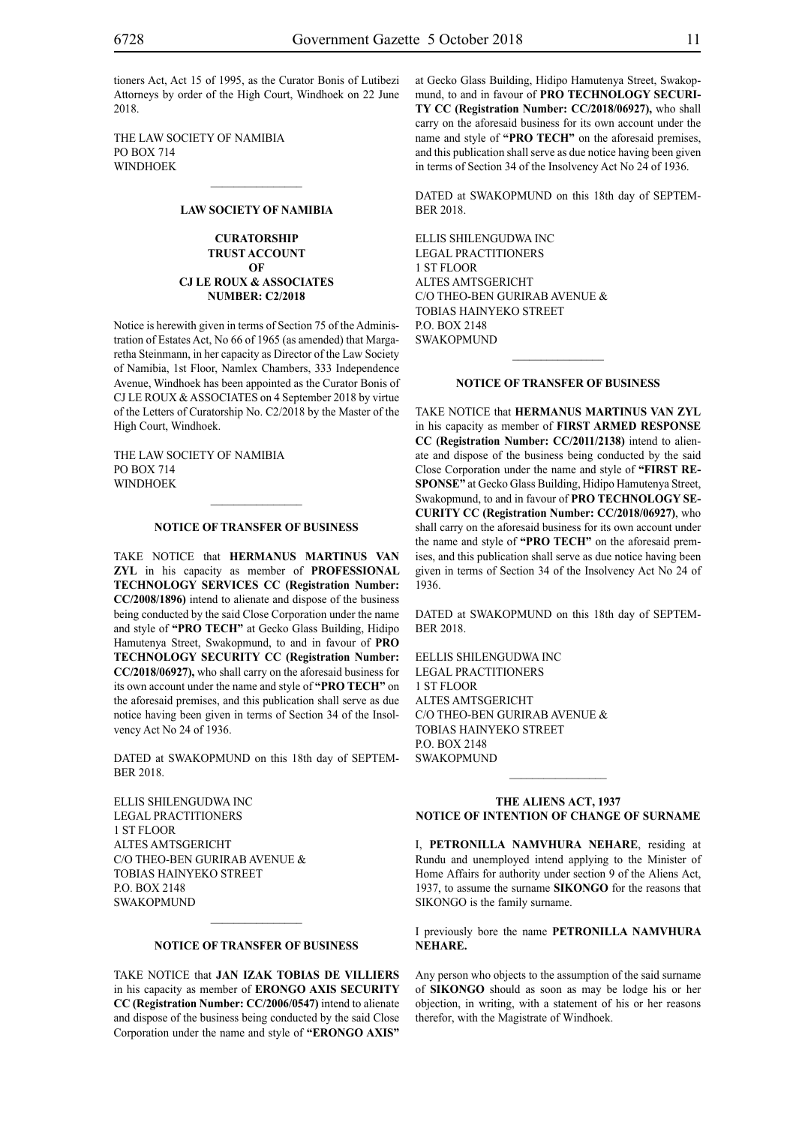tioners Act, Act 15 of 1995, as the Curator Bonis of Lutibezi Attorneys by order of the High Court, Windhoek on 22 June 2018.

THE LAW SOCIETY OF NAMIBIA PO BOX 714 **WINDHOEK** 

#### **LAW SOCIETY OF NAMIBIA**

 $\mathcal{L}=\mathcal{L}^{\mathcal{L}}$ 

#### **CURATORSHIP TRUST ACCOUNT OF CJ LE ROUX & ASSOCIATES NUMBER: C2/2018**

Notice is herewith given in terms of Section 75 of the Administration of Estates Act, No 66 of 1965 (as amended) that Margaretha Steinmann, in her capacity as Director of the Law Society of Namibia, 1st Floor, Namlex Chambers, 333 Independence Avenue, Windhoek has been appointed as the Curator Bonis of CJ LE ROUX & ASSOCIATES on 4 September 2018 by virtue of the Letters of Curatorship No. C2/2018 by the Master of the High Court, Windhoek.

THE LAW SOCIETY OF NAMIBIA PO BOX 714 **WINDHOEK** 

#### **NOTICE OF TRANSFER OF BUSINESS**

TAKE NOTICE that **HERMANUS MARTINUS VAN ZYL** in his capacity as member of **PROFESSIONAL TECHNOLOGY SERVICES CC (Registration Number: CC/2008/1896)** intend to alienate and dispose of the business being conducted by the said Close Corporation under the name and style of **"PRO TECH"** at Gecko Glass Building, Hidipo Hamutenya Street, Swakopmund, to and in favour of **PRO TECHNOLOGY SECURITY CC (Registration Number: CC/2018/06927),** who shall carry on the aforesaid business for its own account under the name and style of **"PRO TECH"** on the aforesaid premises, and this publication shall serve as due notice having been given in terms of Section 34 of the Insolvency Act No 24 of 1936.

DATED at SWAKOPMUND on this 18th day of SEPTEM-BER 2018.

ELLIS SHILENGUDWA INC LEGAL PRACTITIONERS 1 ST FLOOR ALTES AMTSGERICHT C/O THEO-BEN GURIRAB AVENUE & TOBIAS HAINYEKO STREET P.O. BOX 2148 **SWAKOPMUND** 

#### **NOTICE OF TRANSFER OF BUSINESS**

TAKE NOTICE that **JAN IZAK TOBIAS DE VILLIERS** in his capacity as member of **ERONGO AXIS SECURITY CC (Registration Number: CC/2006/0547)** intend to alienate and dispose of the business being conducted by the said Close Corporation under the name and style of **"ERONGO AXIS"**

at Gecko Glass Building, Hidipo Hamutenya Street, Swakopmund, to and in favour of **PRO TECHNOLOGY SECURI-TY CC (Registration Number: CC/2018/06927),** who shall carry on the aforesaid business for its own account under the name and style of **"PRO TECH"** on the aforesaid premises, and this publication shall serve as due notice having been given in terms of Section 34 of the Insolvency Act No 24 of 1936.

DATED at SWAKOPMUND on this 18th day of SEPTEM-BER 2018.

ELLIS SHILENGUDWA INC LEGAL PRACTITIONERS 1 ST FLOOR ALTES AMTSGERICHT C/O THEO-BEN GURIRAB AVENUE & TOBIAS HAINYEKO STREET P.O. BOX 2148 SWAKOPMUND

#### **NOTICE OF TRANSFER OF BUSINESS**

TAKE NOTICE that **HERMANUS MARTINUS VAN ZYL** in his capacity as member of **FIRST ARMED RESPONSE CC (Registration Number: CC/2011/2138)** intend to alienate and dispose of the business being conducted by the said Close Corporation under the name and style of **"FIRST RE-SPONSE"** at Gecko Glass Building, Hidipo Hamutenya Street, Swakopmund, to and in favour of **PRO TECHNOLOGY SE-CURITY CC (Registration Number: CC/2018/06927)**, who shall carry on the aforesaid business for its own account under the name and style of **"PRO TECH"** on the aforesaid premises, and this publication shall serve as due notice having been given in terms of Section 34 of the Insolvency Act No 24 of 1936.

DATED at SWAKOPMUND on this 18th day of SEPTEM-BER 2018.

EELLIS SHILENGUDWA INC LEGAL PRACTITIONERS 1 ST FLOOR ALTES AMTSGERICHT C/O THEO-BEN GURIRAB AVENUE & TOBIAS HAINYEKO STREET **P.O. BOX 2148 SWAKOPMUND** 

#### **THE ALIENS ACT, 1937 NOTICE OF INTENTION OF CHANGE OF SURNAME**

 $\frac{1}{2}$ 

I, **Petronilla Namvhura nehare**, residing at Rundu and unemployed intend applying to the Minister of Home Affairs for authority under section 9 of the Aliens Act, 1937, to assume the surname **sikongo** for the reasons that SIKONGO is the family surname.

#### I previously bore the name **Petronilla Namvhura nehare.**

Any person who objects to the assumption of the said surname of **sikongo** should as soon as may be lodge his or her objection, in writing, with a statement of his or her reasons therefor, with the Magistrate of Windhoek.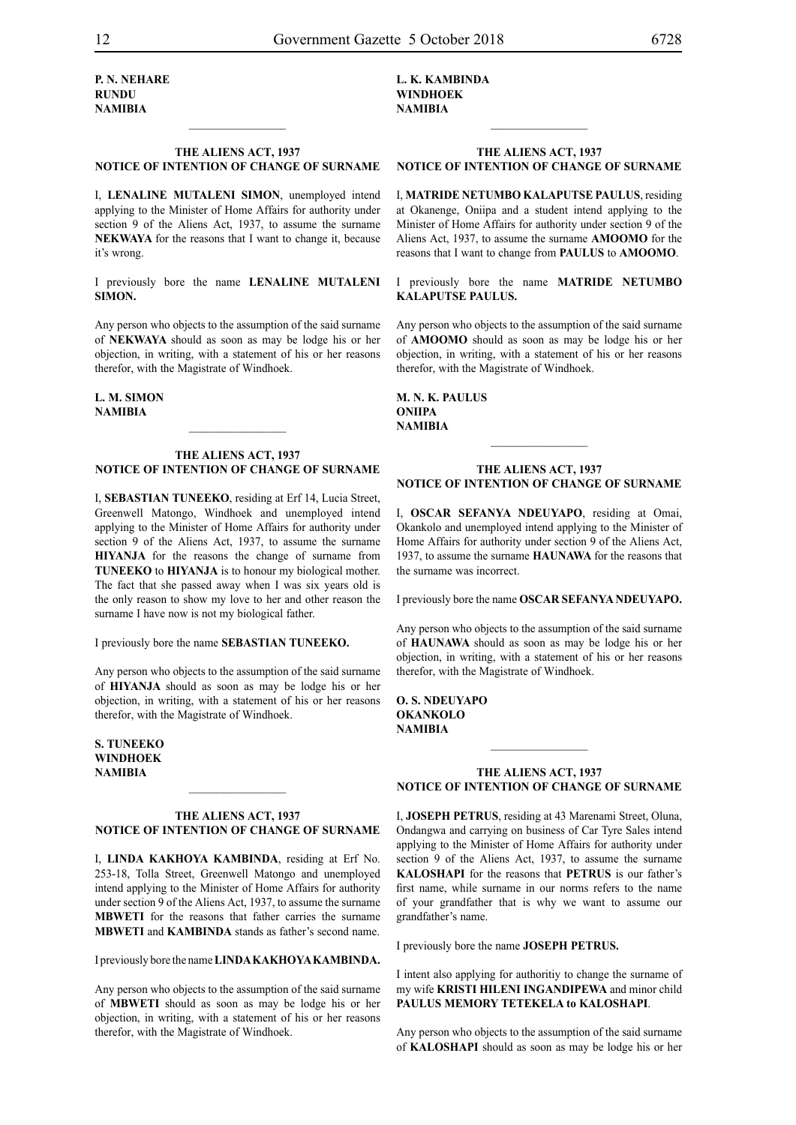**P. N. nehare rundu NAMIBIA**

#### **THE ALIENS ACT, 1937 NOTICE OF INTENTION OF CHANGE OF SURNAME**

 $\frac{1}{2}$ 

I, **lenaline mutaleni simon**, unemployed intend applying to the Minister of Home Affairs for authority under section 9 of the Aliens Act, 1937, to assume the surname NEKWAYA for the reasons that I want to change it, because it's wrong.

I previously bore the name **lenaline mutaleni simon.**

Any person who objects to the assumption of the said surname of **nekwaya** should as soon as may be lodge his or her objection, in writing, with a statement of his or her reasons therefor, with the Magistrate of Windhoek.

**l. m. simon NAMIBIA**

#### **THE ALIENS ACT, 1937 NOTICE OF INTENTION OF CHANGE OF SURNAME**

I, **sebastian tuneeko**, residing at Erf 14, Lucia Street, Greenwell Matongo, Windhoek and unemployed intend applying to the Minister of Home Affairs for authority under section 9 of the Aliens Act, 1937, to assume the surname **hiyanja** for the reasons the change of surname from **TUNEEKO** to **HIYANJA** is to honour my biological mother. The fact that she passed away when I was six years old is the only reason to show my love to her and other reason the surname I have now is not my biological father.

I previously bore the name **sebastian tuneeko.**

Any person who objects to the assumption of the said surname of **HIYANJA** should as soon as may be lodge his or her objection, in writing, with a statement of his or her reasons therefor, with the Magistrate of Windhoek.

**s. tuneeko windhoek NAMIBIA**

#### **THE ALIENS ACT, 1937 NOTICE OF INTENTION OF CHANGE OF SURNAME**

I, **linda kakhoya kambinda**, residing at Erf No. 253-18, Tolla Street, Greenwell Matongo and unemployed intend applying to the Minister of Home Affairs for authority under section 9 of the Aliens Act, 1937, to assume the surname **MBWETI** for the reasons that father carries the surname **MBWETI** and **KAMBINDA** stands as father's second name.

I previously bore the name **LINDA KAKHOYA KAMBINDA.** 

Any person who objects to the assumption of the said surname of **MBWETI** should as soon as may be lodge his or her objection, in writing, with a statement of his or her reasons therefor, with the Magistrate of Windhoek.

**l. k. kambinda windhoek NAMIBIA**

#### **THE ALIENS ACT, 1937 NOTICE OF INTENTION OF CHANGE OF SURNAME**

 $\frac{1}{2}$ 

I, **matride netumbo kalaputse paulus**, residing at Okanenge, Oniipa and a student intend applying to the Minister of Home Affairs for authority under section 9 of the Aliens Act, 1937, to assume the surname **amoomo** for the reasons that I want to change from **PAULUS** to **AMOOMO**.

I previously bore the name **matride netumbo kalaputse paulus.**

Any person who objects to the assumption of the said surname of **amoomo** should as soon as may be lodge his or her objection, in writing, with a statement of his or her reasons therefor, with the Magistrate of Windhoek.

**m. n. k. paulus oniipa NAMIBIA**

#### **THE ALIENS ACT, 1937 NOTICE OF INTENTION OF CHANGE OF SURNAME**

 $\frac{1}{2}$ 

I, **oscar sefanya ndeuyapo**, residing at Omai, Okankolo and unemployed intend applying to the Minister of Home Affairs for authority under section 9 of the Aliens Act, 1937, to assume the surname **haunawa** for the reasons that the surname was incorrect.

I previously bore the name **OSCAR SEFANYA NDEUYAPO.** 

Any person who objects to the assumption of the said surname of **haunawa** should as soon as may be lodge his or her objection, in writing, with a statement of his or her reasons therefor, with the Magistrate of Windhoek.

**o. s. ndeuyapo okankolo NAMIBIA**

#### **THE ALIENS ACT, 1937 NOTICE OF INTENTION OF CHANGE OF SURNAME**

 $\frac{1}{2}$ 

I, **joseph petrus**, residing at 43 Marenami Street, Oluna, Ondangwa and carrying on business of Car Tyre Sales intend applying to the Minister of Home Affairs for authority under section 9 of the Aliens Act, 1937, to assume the surname **kaloshapi** for the reasons that **PETRUS** is our father's first name, while surname in our norms refers to the name of your grandfather that is why we want to assume our grandfather's name.

I previously bore the name **joseph petrus.**

I intent also applying for authoritiy to change the surname of my wife **KRISTI HILENI INGANDIPEWA** and minor child **PAULUS MEMORY TETEKELA to KALOSHAPI**.

Any person who objects to the assumption of the said surname of **kaloshapi** should as soon as may be lodge his or her